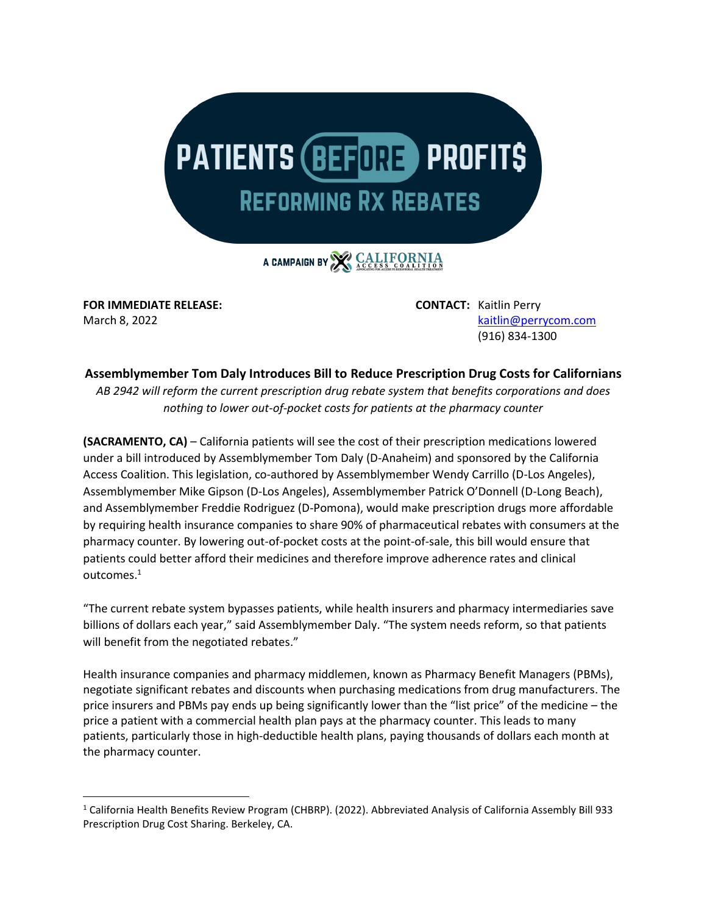

A CAMPAIGN BY CALIFORNIA

**FOR IMMEDIATE RELEASE: CONTACT:** Kaitlin Perry

March 8, 2022 **[kaitlin@perrycom.com](mailto:kaitlin@perrycom.com)** (916) 834-1300

## **Assemblymember Tom Daly Introduces Bill to Reduce Prescription Drug Costs for Californians**

*AB 2942 will reform the current prescription drug rebate system that benefits corporations and does nothing to lower out-of-pocket costs for patients at the pharmacy counter*

**(SACRAMENTO, CA)** – California patients will see the cost of their prescription medications lowered under a bill introduced by Assemblymember Tom Daly (D-Anaheim) and sponsored by the California Access Coalition. This legislation, co-authored by Assemblymember Wendy Carrillo (D-Los Angeles), Assemblymember Mike Gipson (D-Los Angeles), Assemblymember Patrick O'Donnell (D-Long Beach), and Assemblymember Freddie Rodriguez (D-Pomona), would make prescription drugs more affordable by requiring health insurance companies to share 90% of pharmaceutical rebates with consumers at the pharmacy counter. By lowering out-of-pocket costs at the point-of-sale, this bill would ensure that patients could better afford their medicines and therefore improve adherence rates and clinical outcomes.<sup>1</sup>

"The current rebate system bypasses patients, while health insurers and pharmacy intermediaries save billions of dollars each year," said Assemblymember Daly. "The system needs reform, so that patients will benefit from the negotiated rebates."

Health insurance companies and pharmacy middlemen, known as Pharmacy Benefit Managers (PBMs), negotiate significant rebates and discounts when purchasing medications from drug manufacturers. The price insurers and PBMs pay ends up being significantly lower than the "list price" of the medicine – the price a patient with a commercial health plan pays at the pharmacy counter. This leads to many patients, particularly those in high-deductible health plans, paying thousands of dollars each month at the pharmacy counter.

<sup>1</sup> California Health Benefits Review Program (CHBRP). (2022). Abbreviated Analysis of California Assembly Bill 933 Prescription Drug Cost Sharing. Berkeley, CA.